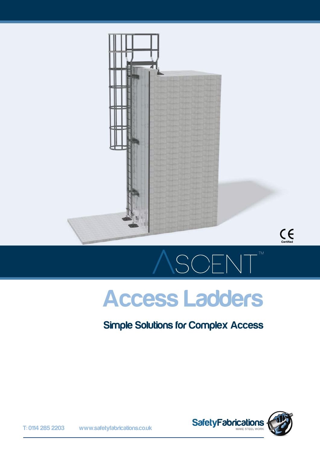



# Access Ladders

SCENT

### Simple Solutions for Complex Access

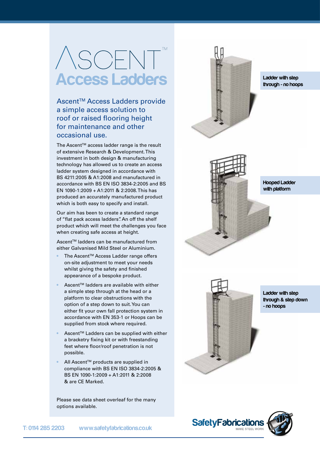# **ASCENT** Access Ladders

Ascent<sup>™</sup> Access Ladders provide a simple access solution to roof or raised flooring height for maintenance and other occasional use.

The Ascent™ access ladder range is the result of extensive Research & Development. This investment in both design & manufacturing technology has allowed us to create an access ladder system designed in accordance with BS 4211:2005 & A1:2008 and manufactured in accordance with BS EN ISO 3834-2:2005 and BS EN 1090-1:2009 + A1:2011 & 2:2008. This has produced an accurately manufactured product which is both easy to specify and install.

Our aim has been to create a standard range of "flat pack access ladders". An off the shelf product which will meet the challenges you face when creating safe access at height.

Ascent<sup>™</sup> ladders can be manufactured from either Galvanised Mild Steel or Aluminium.

- The Ascent™ Access Ladder range offers on-site adjustment to meet your needs whilst giving the safety and finished appearance of a bespoke product.
- Ascent™ ladders are available with either a simple step through at the head or a platform to clear obstructions with the option of a step down to suit. You can either fit your own fall protection system in accordance with EN 353-1 or Hoops can be supplied from stock where required.
- Ascent™ Ladders can be supplied with either a bracketry fixing kit or with freestanding feet where floor/roof penetration is not possible.
- All Ascent™ products are supplied in compliance with BS EN ISO 3834-2:2005 & BS EN 1090-1:2009 + A1:2011 & 2:2008 & are CE Marked.

Please see data sheet overleaf for the many options available.



Ladder with step through - no hoops





Ladder with step through & step down - no hoops

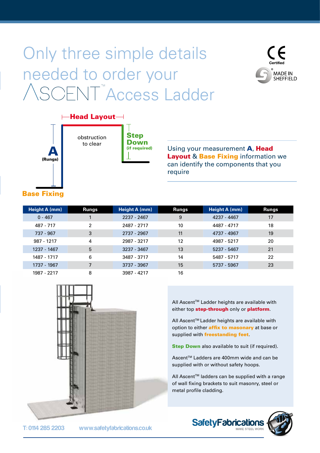## Only three simple details needed to order your OFNT<sup>™</sup>Access Ladder





Step Down (if required)

Using your measurement A, Head **Layout & Base Fixing information we** can identify the components that you require

### Base Fixing

| Height A (mm) | <b>Rungs</b> | Height A (mm) | <b>Rungs</b> | Height A (mm) | <b>Rungs</b> |
|---------------|--------------|---------------|--------------|---------------|--------------|
| $0 - 467$     |              | 2237 - 2467   | 9            | 4237 - 4467   | 17           |
| 487 - 717     | 2            | 2487 - 2717   | 10           | 4487 - 4717   | 18           |
| 737 - 967     | 3            | 2737 - 2967   | 11           | 4737 - 4967   | 19           |
| 987 - 1217    | 4            | 2987 - 3217   | 12           | 4987 - 5217   | 20           |
| 1237 - 1467   | 5            | 3237 - 3467   | 13           | 5237 - 5467   | 21           |
| 1487 - 1717   | 6            | 3487 - 3717   | 14           | 5487 - 5717   | 22           |
| 1737 - 1967   | 7            | 3737 - 3967   | 15           | 5737 - 5967   | 23           |
| 1987 - 2217   | 8            | 3987 - 4217   | 16           |               |              |



All Ascent™ Ladder heights are available with either top **step-through** only or **platform**.

All Ascent™ Ladder heights are available with option to either **affix to masonary** at base or supplied with **freestanding feet**.

**Step Down** also available to suit (if required).

Ascent™ Ladders are 400mm wide and can be supplied with or without safety hoops.

All Ascent™ ladders can be supplied with a range of wall fixing brackets to suit masonry, steel or metal profile cladding.